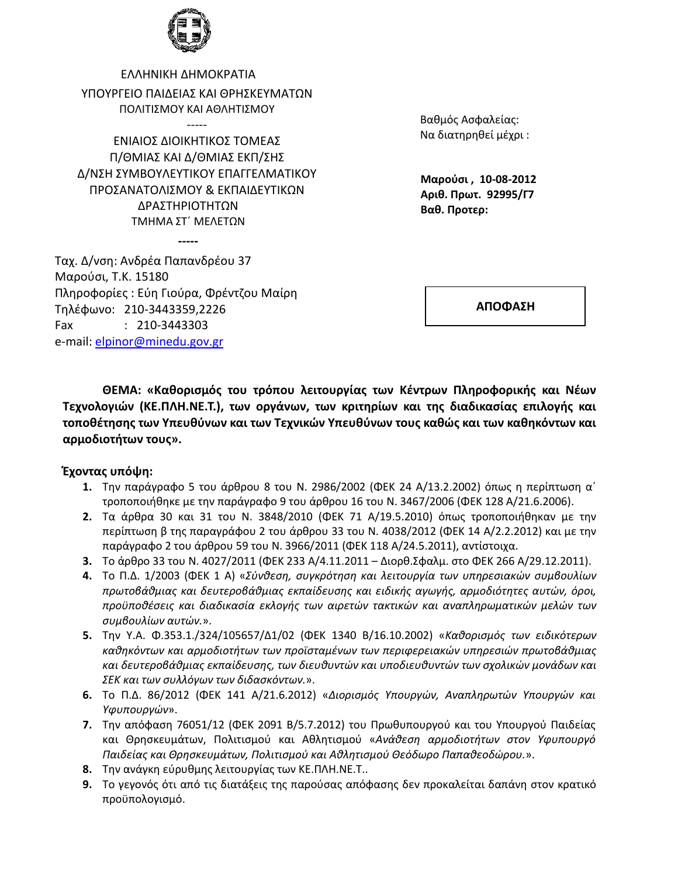

ΕΛΛΗΝΙΚΗ ΔΗΜΟΚΡΑΤΙΑ ΥΠΟΥΡΓΕΙΟ ΠΑΙΛΕΙΑΣ ΚΑΙ ΘΡΗΣΚΕΥΜΑΤΩΝ ΠΟΛΙΤΙΣΜΟΥ ΚΑΙ ΑΘΛΗΤΙΣΜΟΥ

 $\frac{1}{1}$ 

ΕΝΙΑΙΟΣ ΔΙΟΙΚΗΤΙΚΟΣ ΤΟΜΕΑΣ Π/ΘΜΙΑΣ ΚΑΙ Δ/ΘΜΙΑΣ ΕΚΠ/ΣΗΣ Δ/ΝΣΗ ΣΥΜΒΟΥΛΕΥΤΙΚΟΥ ΕΠΑΓΓΕΛΜΑΤΙΚΟΥ ΠΡΟΣΑΝΑΤΟΛΙΣΜΟΥ & ΕΚΠΑΙΔΕΥΤΙΚΩΝ ΔΡΑΣΤΗΡΙΟΤΗΤΩΝ ΤΜΗΜΑ ΣΤ΄ ΜΕΛΕΤΩΝ

Βαθμός Ασφαλείας: Να διατηρηθεί μέχρι:

Μαρούσι, 10-08-2012 Αριθ. Πρωτ. 92995/Γ7 Βαθ. Προτερ:

Ταχ. Δ/νση: Ανδρέα Παπανδρέου 37 Μαρούσι, Τ.Κ. 15180 Πληροφορίες: Εύη Γιούρα, Φρέντζου Μαίρη Τηλέφωνο: 210-3443359,2226 Fax  $: 210-3443303$ e-mail: elpinor@minedu.gov.gr

ΑΠΟΦΑΣΗ

ΘΕΜΑ: «Καθορισμός του τρόπου λειτουργίας των Κέντρων Πληροφορικής και Νέων Τεχνολογιών (ΚΕ.ΠΛΗ.ΝΕ.Τ.), των οργάνων, των κριτηρίων και της διαδικασίας επιλογής και τοποθέτησης των Υπευθύνων και των Τεχνικών Υπευθύνων τους καθώς και των καθηκόντων και αρμοδιοτήτων τους».

#### Έχοντας υπόψη:

- 1. Την παράγραφο 5 του άρθρου 8 του Ν. 2986/2002 (ΦΕΚ 24 Α/13.2.2002) όπως η περίπτωση α' τροποποιήθηκε με την παράγραφο 9 του άρθρου 16 του Ν. 3467/2006 (ΦΕΚ 128 Α/21.6.2006).
- 2. Τα άρθρα 30 και 31 του Ν. 3848/2010 (ΦΕΚ 71 Α/19.5.2010) όπως τροποποιήθηκαν με την περίπτωση β της παραγράφου 2 του άρθρου 33 του Ν. 4038/2012 (ΦΕΚ 14 Α/2.2.2012) και με την παράγραφο 2 του άρθρου 59 του Ν. 3966/2011 (ΦΕΚ 118 Α/24.5.2011), αντίστοιχα.
- 3. Το άρθρο 33 του Ν. 4027/2011 (ΦΕΚ 233 Α/4.11.2011 Διορθ. Σφαλμ. στο ΦΕΚ 266 Α/29.12.2011).
- 4. Το Π.Δ. 1/2003 (ΦΕΚ 1 Α) «Σύνθεση, συγκρότηση και λειτουργία των υπηρεσιακών συμβουλίων πρωτοβάθμιας και δευτεροβάθμιας εκπαίδευσης και ειδικής αγωγής, αρμοδιότητες αυτών, όροι, προϋποθέσεις και διαδικασία εκλογής των αιρετών τακτικών και αναπληρωματικών μελών των συμβουλίων αυτών.».
- 5. Την Υ.Α. Φ.353.1./324/105657/Δ1/02 (ΦΕΚ 1340 Β/16.10.2002) «Καθορισμός των ειδικότερων καθηκόντων και αρμοδιοτήτων των προϊσταμένων των περιφερειακών υπηρεσιών πρωτοβάθμιας και δευτεροβάθμιας εκπαίδευσης, των διευθυντών και υποδιευθυντών των σχολικών μονάδων και ΣΕΚ και των συλλόγων των διδασκόντων.».
- 6. Το Π.Δ. 86/2012 (ΦΕΚ 141 Α/21.6.2012) «Διορισμός Υπουργών, Αναπληρωτών Υπουργών και Υφυπουργών».
- 7. Την απόφαση 76051/12 (ΦΕΚ 2091 Β/5.7.2012) του Πρωθυπουργού και του Υπουργού Παιδείας και Θρησκευμάτων, Πολιτισμού και Αθλητισμού «Ανάθεση αρμοδιοτήτων στον Υφυπουργό Παιδείας και Θρησκευμάτων, Πολιτισμού και Αθλητισμού Θεόδωρο Παπαθεοδώρου.».
- 8. Την ανάγκη εύρυθμης λειτουργίας των ΚΕ.ΠΛΗ.ΝΕ.Τ..
- 9. Το γεγονός ότι από τις διατάξεις της παρούσας απόφασης δεν προκαλείται δαπάνη στον κρατικό προϋπολογισμό.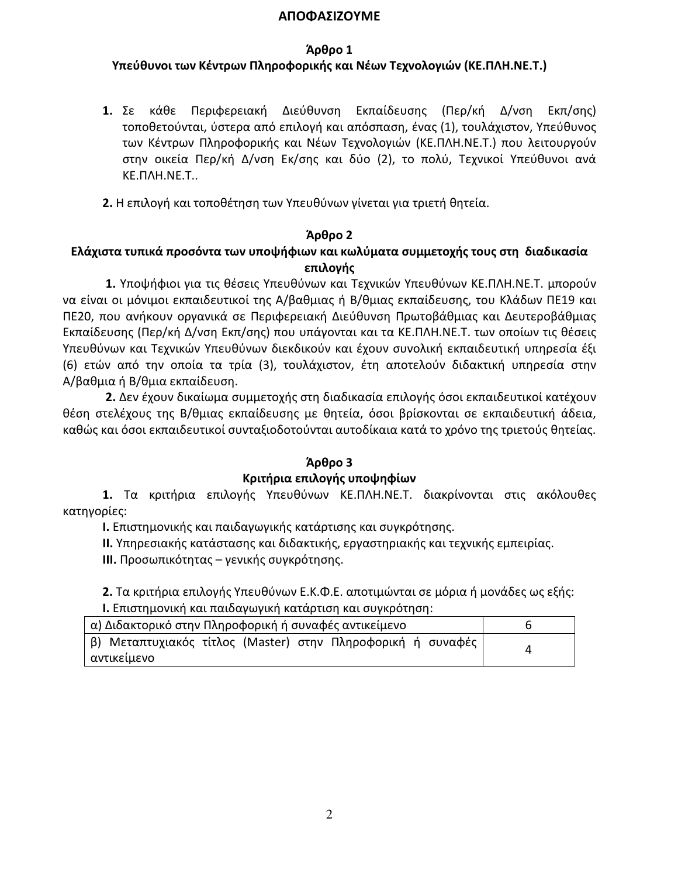#### ΑΠΟΦΑΣΙΖΟΥΜΕ

### Άρθρο 1

# Υπεύθυνοι των Κέντρων Πληροφορικής και Νέων Τεχνολογιών (ΚΕ.ΠΛΗ.ΝΕ.Τ.)

1.  $\Sigma \varepsilon$ κάθε Περιφερειακή Διεύθυνση Εκπαίδευσης (Περ/κή Δ/νση Εκπ/σης) τοποθετούνται, ύστερα από επιλογή και απόσπαση, ένας (1), τουλάχιστον, Υπεύθυνος των Κέντρων Πληροφορικής και Νέων Τεχνολογιών (ΚΕ.ΠΛΗ.ΝΕ.Τ.) που λειτουργούν στην οικεία Περ/κή Δ/νση Εκ/σης και δύο (2), το πολύ, Τεχνικοί Υπεύθυνοι ανά KE. NAH. NE. T..

2. Η επιλογή και τοποθέτηση των Υπευθύνων γίνεται για τριετή θητεία.

### Άρθρο 2

# Ελάχιστα τυπικά προσόντα των υποψήφιων και κωλύματα συμμετοχής τους στη διαδικασία επιλογής

1. Υποψήφιοι για τις θέσεις Υπευθύνων και Τεχνικών Υπευθύνων ΚΕ.ΠΛΗ.ΝΕ.Τ. μπορούν να είναι οι μόνιμοι εκπαιδευτικοί της Α/βαθμιας ή Β/θμιας εκπαίδευσης, του Κλάδων ΠΕ19 και ΠΕ20, που ανήκουν οργανικά σε Περιφερειακή Διεύθυνση Πρωτοβάθμιας και Δευτεροβάθμιας Εκπαίδευσης (Περ/κή Δ/νση Εκπ/σης) που υπάγονται και τα ΚΕ.ΠΛΗ.ΝΕ.Τ. των οποίων τις θέσεις Υπευθύνων και Τεχνικών Υπευθύνων διεκδικούν και έχουν συνολική εκπαιδευτική υπηρεσία έξι (6) ετών από την οποία τα τρία (3), τουλάχιστον, έτη αποτελούν διδακτική υπηρεσία στην Α/βαθμια ή Β/θμια εκπαίδευση.

2. Δεν έχουν δικαίωμα συμμετοχής στη διαδικασία επιλογής όσοι εκπαιδευτικοί κατέχουν θέση στελέχους της Β/θμιας εκπαίδευσης με θητεία, όσοι βρίσκονται σε εκπαιδευτική άδεια, καθώς και όσοι εκπαιδευτικοί συνταξιοδοτούνται αυτοδίκαια κατά το χρόνο της τριετούς θητείας.

# Άρθρο 3

# Κριτήρια επιλογής υποψηφίων

1. Τα κριτήρια επιλογής Υπευθύνων ΚΕ.ΠΛΗ.ΝΕ.Τ. διακρίνονται στις ακόλουθες κατηγορίες:

Ι. Επιστημονικής και παιδαγωγικής κατάρτισης και συγκρότησης.

II. Υπηρεσιακής κατάστασης και διδακτικής, εργαστηριακής και τεχνικής εμπειρίας.

III. Προσωπικότητας - γενικής συγκρότησης.

2. Τα κριτήρια επιλογής Υπευθύνων Ε.Κ.Φ.Ε. αποτιμώνται σε μόρια ή μονάδες ως εξής: I. Επιστημονική και παιδαγωγική κατάρτιση και συγκρότηση:

| α) Διδακτορικό στην Πληροφορική ή συναφές αντικείμενο       |  |
|-------------------------------------------------------------|--|
| β) Μεταπτυχιακός τίτλος (Master) στην Πληροφορική ή συναφές |  |
| αντικείμενο                                                 |  |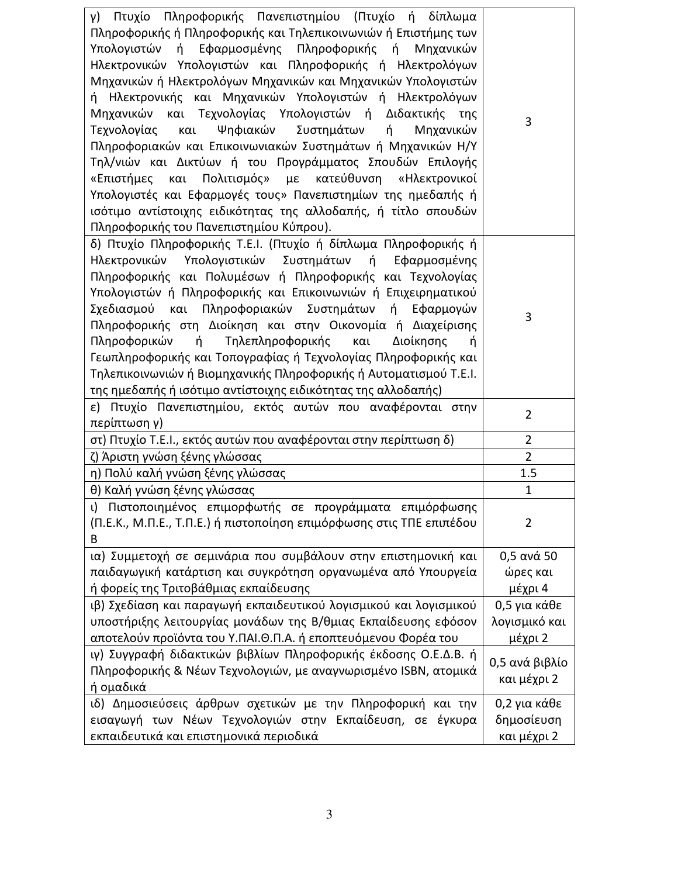| Πτυχίο Πληροφορικής Πανεπιστημίου (Πτυχίο ή δίπλωμα<br>γ)<br>Πληροφορικής ή Πληροφορικής και Τηλεπικοινωνιών ή Επιστήμης των<br>Υπολογιστών ή Εφαρμοσμένης Πληροφορικής ή Μηχανικών<br>Ηλεκτρονικών Υπολογιστών και Πληροφορικής ή Ηλεκτρολόγων<br>Μηχανικών ή Ηλεκτρολόγων Μηχανικών και Μηχανικών Υπολογιστών<br>ή Ηλεκτρονικής και Μηχανικών Υπολογιστών ή Ηλεκτρολόγων<br>Μηχανικών και Τεχνολογίας Υπολογιστών ή Διδακτικής της<br>Ψηφιακών Συστημάτων<br>Τεχνολογίας και<br>ή<br>Μηχανικών<br>Πληροφοριακών και Επικοινωνιακών Συστημάτων ή Μηχανικών Η/Υ<br>Τηλ/νιών και Δικτύων ή του Προγράμματος Σπουδών Επιλογής<br>Πολιτισμός» με κατεύθυνση<br>«Επιστήμες και<br>«Ηλεκτρονικοί<br>Υπολογιστές και Εφαρμογές τους» Πανεπιστημίων της ημεδαπής ή<br>ισότιμο αντίστοιχης ειδικότητας της αλλοδαπής, ή τίτλο σπουδών<br>Πληροφορικής του Πανεπιστημίου Κύπρου). | 3              |
|--------------------------------------------------------------------------------------------------------------------------------------------------------------------------------------------------------------------------------------------------------------------------------------------------------------------------------------------------------------------------------------------------------------------------------------------------------------------------------------------------------------------------------------------------------------------------------------------------------------------------------------------------------------------------------------------------------------------------------------------------------------------------------------------------------------------------------------------------------------------------|----------------|
| δ) Πτυχίο Πληροφορικής Τ.Ε.Ι. (Πτυχίο ή δίπλωμα Πληροφορικής ή<br>Ηλεκτρονικών Υπολογιστικών Συστημάτων ή Εφαρμοσμένης<br>Πληροφορικής και Πολυμέσων ή Πληροφορικής και Τεχνολογίας<br>Υπολογιστών ή Πληροφορικής και Επικοινωνιών ή Επιχειρηματικού<br>Σχεδιασμού και Πληροφοριακών Συστημάτων<br>ή Εφαρμογών<br>Πληροφορικής στη Διοίκηση και στην Οικονομία ή Διαχείρισης<br>Πληροφορικών ή<br>Τηλεπληροφορικής<br>και<br>Διοίκησης<br>ń<br>Γεωπληροφορικής και Τοπογραφίας ή Τεχνολογίας Πληροφορικής και<br>Τηλεπικοινωνιών ή Βιομηχανικής Πληροφορικής ή Αυτοματισμού Τ.Ε.Ι.<br>της ημεδαπής ή ισότιμο αντίστοιχης ειδικότητας της αλλοδαπής)                                                                                                                                                                                                                      | 3              |
| ε) Πτυχίο Πανεπιστημίου, εκτός αυτών που αναφέρονται στην<br>περίπτωση γ)                                                                                                                                                                                                                                                                                                                                                                                                                                                                                                                                                                                                                                                                                                                                                                                                | $\overline{2}$ |
| στ) Πτυχίο T.E.I., εκτός αυτών που αναφέρονται στην περίπτωση δ)                                                                                                                                                                                                                                                                                                                                                                                                                                                                                                                                                                                                                                                                                                                                                                                                         | $\overline{2}$ |
| ζ) Άριστη γνώση ξένης γλώσσας                                                                                                                                                                                                                                                                                                                                                                                                                                                                                                                                                                                                                                                                                                                                                                                                                                            | $\overline{2}$ |
| η) Πολύ καλή γνώση ξένης γλώσσας                                                                                                                                                                                                                                                                                                                                                                                                                                                                                                                                                                                                                                                                                                                                                                                                                                         | 1.5            |
| θ) Καλή γνώση ξένης γλώσσας                                                                                                                                                                                                                                                                                                                                                                                                                                                                                                                                                                                                                                                                                                                                                                                                                                              | $\mathbf{1}$   |
| ι) Πιστοποιημένος επιμορφωτής σε προγράμματα επιμόρφωσης<br>(Π.Ε.Κ., Μ.Π.Ε., Τ.Π.Ε.) ή πιστοποίηση επιμόρφωσης στις ΤΠΕ επιπέδου<br>B                                                                                                                                                                                                                                                                                                                                                                                                                                                                                                                                                                                                                                                                                                                                    | 2              |
| ια) Συμμετοχή σε σεμινάρια που συμβάλουν στην επιστημονική και                                                                                                                                                                                                                                                                                                                                                                                                                                                                                                                                                                                                                                                                                                                                                                                                           | $0,5$ ανά 50   |
| παιδαγωγική κατάρτιση και συγκρότηση οργανωμένα από Υπουργεία                                                                                                                                                                                                                                                                                                                                                                                                                                                                                                                                                                                                                                                                                                                                                                                                            | ώρες και       |
| ή φορείς της Τριτοβάθμιας εκπαίδευσης                                                                                                                                                                                                                                                                                                                                                                                                                                                                                                                                                                                                                                                                                                                                                                                                                                    | μέχρι 4        |
| ιβ) Σχεδίαση και παραγωγή εκπαιδευτικού λογισμικού και λογισμικού                                                                                                                                                                                                                                                                                                                                                                                                                                                                                                                                                                                                                                                                                                                                                                                                        | 0,5 για κάθε   |
| υποστήριξης λειτουργίας μονάδων της Β/θμιας Εκπαίδευσης εφόσον                                                                                                                                                                                                                                                                                                                                                                                                                                                                                                                                                                                                                                                                                                                                                                                                           | λογισμικό και  |
| αποτελούν προϊόντα του Υ.ΠΑΙ.Θ.Π.Α. ή εποπτευόμενου Φορέα του                                                                                                                                                                                                                                                                                                                                                                                                                                                                                                                                                                                                                                                                                                                                                                                                            | μέχρι 2        |
| ιγ) Συγγραφή διδακτικών βιβλίων Πληροφορικής έκδοσης Ο.Ε.Δ.Β. ή                                                                                                                                                                                                                                                                                                                                                                                                                                                                                                                                                                                                                                                                                                                                                                                                          | 0,5 ανά βιβλίο |
| Πληροφορικής & Νέων Τεχνολογιών, με αναγνωρισμένο ISBN, ατομικά<br>ή ομαδικά                                                                                                                                                                                                                                                                                                                                                                                                                                                                                                                                                                                                                                                                                                                                                                                             | και μέχρι 2    |
| ιδ) Δημοσιεύσεις άρθρων σχετικών με την Πληροφορική και την                                                                                                                                                                                                                                                                                                                                                                                                                                                                                                                                                                                                                                                                                                                                                                                                              | 0,2 για κάθε   |
| εισαγωγή των Νέων Τεχνολογιών στην Εκπαίδευση, σε έγκυρα                                                                                                                                                                                                                                                                                                                                                                                                                                                                                                                                                                                                                                                                                                                                                                                                                 | δημοσίευση     |
| εκπαιδευτικά και επιστημονικά περιοδικά                                                                                                                                                                                                                                                                                                                                                                                                                                                                                                                                                                                                                                                                                                                                                                                                                                  | και μέχρι 2    |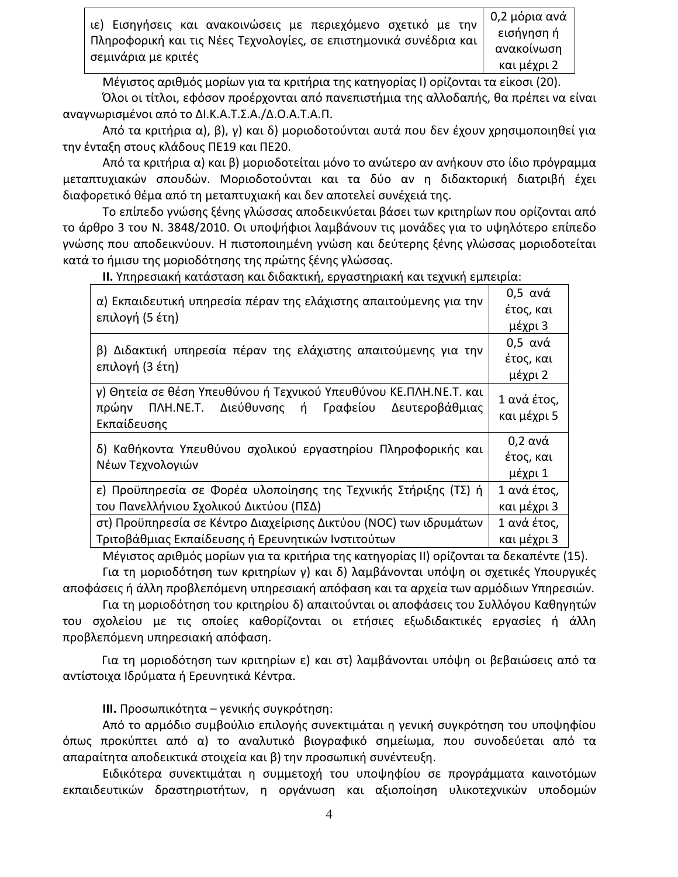| ιε) Εισηγήσεις και ανακοινώσεις με περιεχόμενο σχετικό με την        | ∥ 0,2 μόρια ανά |
|----------------------------------------------------------------------|-----------------|
|                                                                      | εισήγηση ή      |
| Πληροφορική και τις Νέες Τεχνολογίες, σε επιστημονικά συνέδρια και μ | ανακοίνωση      |
| σεμινάρια με κριτές                                                  | και μέχοι 2     |

Μέγιστος αριθμός μορίων για τα κριτήρια της κατηγορίας Ι) ορίζονται τα είκοσι (20).

Όλοι οι τίτλοι, εφόσον προέρχονται από πανεπιστήμια της αλλοδαπής, θα πρέπει να είναι αναγνωρισμένοι από το ΔΙ.Κ.Α.Τ.Σ.Α./Δ.Ο.Α.Τ.Α.Π.

Από τα κριτήρια α), β), γ) και δ) μοριοδοτούνται αυτά που δεν έχουν χρησιμοποιηθεί για την ένταξη στους κλάδους ΠΕ19 και ΠΕ20.

Από τα κριτήρια α) και β) μοριοδοτείται μόνο το ανώτερο αν ανήκουν στο ίδιο πρόγραμμα μεταπτυχιακών σπουδών. Μοριοδοτούνται και τα δύο αν η διδακτορική διατριβή έχει διαφορετικό θέμα από τη μεταπτυχιακή και δεν αποτελεί συνέχειά της.

Το επίπεδο γνώσης ξένης γλώσσας αποδεικνύεται βάσει των κριτηρίων που ορίζονται από το άρθρο 3 του Ν. 3848/2010. Οι υποψήφιοι λαμβάνουν τις μονάδες για το υψηλότερο επίπεδο γνώσης που αποδεικνύουν. Η πιστοποιημένη γνώση και δεύτερης ξένης γλώσσας μοριοδοτείται κατά το ήμισυ της μοριοδότησης της πρώτης ξένης γλώσσας.

II. Υπηρεσιακή κατάσταση και διδακτική, εργαστηριακή και τεχνική εμπειρία:

| α) Εκπαιδευτική υπηρεσία πέραν της ελάχιστης απαιτούμενης για την<br>επιλογή (5 έτη)                                                        | $0,5$ ανά                  |
|---------------------------------------------------------------------------------------------------------------------------------------------|----------------------------|
|                                                                                                                                             | έτος, και                  |
|                                                                                                                                             | μέχρι 3                    |
| β) Διδακτική υπηρεσία πέραν της ελάχιστης απαιτούμενης για την                                                                              | $0,5$ ανά                  |
|                                                                                                                                             | έτος, και                  |
| επιλογή (3 έτη)                                                                                                                             | μέχρι 2                    |
| γ) Θητεία σε θέση Υπευθύνου ή Τεχνικού Υπευθύνου ΚΕ.ΠΛΗ.ΝΕ.Τ. και<br>ΠΛΗ.ΝΕ.Τ. Διεύθυνσης ή Γραφείου Δευτεροβάθμιας<br>πρώην<br>Εκπαίδευσης | 1 ανά έτος,<br>και μέχρι 5 |
| δ) Καθήκοντα Υπευθύνου σχολικού εργαστηρίου Πληροφορικής και<br>Νέων Τεχνολογιών                                                            | $0,2$ ανά                  |
|                                                                                                                                             | έτος, και                  |
|                                                                                                                                             | μέχρι 1                    |
| ε) Προϋπηρεσία σε Φορέα υλοποίησης της Τεχνικής Στήριξης (ΤΣ) ή                                                                             | 1 ανά έτος,                |
| του Πανελλήνιου Σχολικού Δικτύου (ΠΣΔ)                                                                                                      | και μέχρι 3                |
| στ) Προϋπηρεσία σε Κέντρο Διαχείρισης Δικτύου (NOC) των ιδρυμάτων                                                                           | 1 ανά έτος,                |
| Τριτοβάθμιας Εκπαίδευσης ή Ερευνητικών Ινστιτούτων                                                                                          | και μέχρι 3                |

Μέγιστος αριθμός μορίων για τα κριτήρια της κατηγορίας ΙΙ) ορίζονται τα δεκαπέντε (15). Για τη μοριοδότηση των κριτηρίων γ) και δ) λαμβάνονται υπόψη οι σχετικές Υπουργικές

αποφάσεις ή άλλη προβλεπόμενη υπηρεσιακή απόφαση και τα αρχεία των αρμόδιων Υπηρεσιών.

Για τη μοριοδότηση του κριτηρίου δ) απαιτούνται οι αποφάσεις του Συλλόγου Καθηγητών του σχολείου με τις οποίες καθορίζονται οι ετήσιες εξωδιδακτικές εργασίες ή άλλη προβλεπόμενη υπηρεσιακή απόφαση.

Για τη μοριοδότηση των κριτηρίων ε) και στ) λαμβάνονται υπόψη οι βεβαιώσεις από τα αντίστοιχα Ιδρύματα ή Ερευνητικά Κέντρα.

III. Προσωπικότητα - γενικής συγκρότηση:

Από το αρμόδιο συμβούλιο επιλογής συνεκτιμάται η γενική συγκρότηση του υποψηφίου όπως προκύπτει από α) το αναλυτικό βιογραφικό σημείωμα, που συνοδεύεται από τα απαραίτητα αποδεικτικά στοιχεία και β) την προσωπική συνέντευξη.

Ειδικότερα συνεκτιμάται η συμμετοχή του υποψηφίου σε προγράμματα καινοτόμων εκπαιδευτικών δραστηριοτήτων, η οργάνωση και αξιοποίηση υλικοτεχνικών υποδομών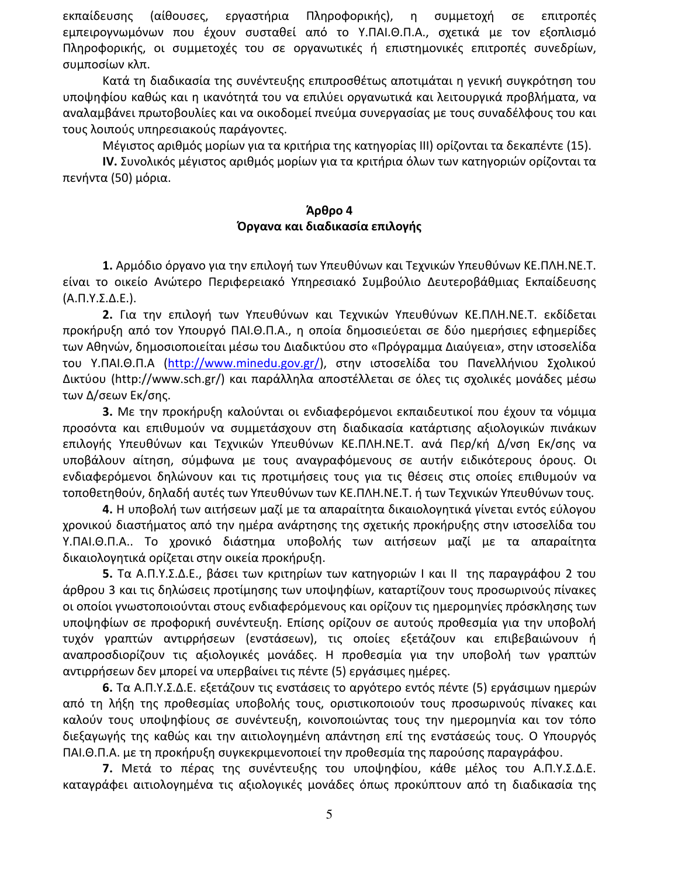εκπαίδευσης εργαστήρια Πληροφορικής), η συμμετοχή σε (αίθουσες, επιτροπές εμπειρογνωμόνων που έχουν συσταθεί από το Υ.ΠΑΙ.Θ.Π.Α., σχετικά με τον εξοπλισμό Πληροφορικής, οι συμμετοχές του σε οργανωτικές ή επιστημονικές επιτροπές συνεδρίων, συμποσίων κλπ.

Κατά τη διαδικασία της συνέντευξης επιπροσθέτως αποτιμάται η γενική συγκρότηση του υποψηφίου καθώς και η ικανότητά του να επιλύει οργανωτικά και λειτουργικά προβλήματα, να αναλαμβάνει πρωτοβουλίες και να οικοδομεί πνεύμα συνεργασίας με τους συναδέλφους του και τους λοιπούς υπηρεσιακούς παράγοντες.

Μέγιστος αριθμός μορίων για τα κριτήρια της κατηγορίας ΙΙΙ) ορίζονται τα δεκαπέντε (15).

ΙV. Συνολικός μέγιστος αριθμός μορίων για τα κριτήρια όλων των κατηγοριών ορίζονται τα πενήντα (50) μόρια.

### Άρθρο 4 Όργανα και διαδικασία επιλογής

1. Αρμόδιο όργανο για την επιλογή των Υπευθύνων και Τεχνικών Υπευθύνων ΚΕ.ΠΛΗ.ΝΕ.Τ. είναι το οικείο Ανώτερο Περιφερειακό Υπηρεσιακό Συμβούλιο Δευτεροβάθμιας Εκπαίδευσης  $(A.\Pi.Y.\Sigma.\Delta.E.).$ 

2. Για την επιλογή των Υπευθύνων και Τεχνικών Υπευθύνων ΚΕ.ΠΛΗ.ΝΕ.Τ. εκδίδεται προκήρυξη από τον Υπουργό ΠΑΙ.Θ.Π.Α., η οποία δημοσιεύεται σε δύο ημερήσιες εφημερίδες των Αθηνών, δημοσιοποιείται μέσω του Διαδικτύου στο «Πρόγραμμα Διαύγεια», στην ιστοσελίδα του Υ.ΠΑΙ.Θ.Π.Α (http://www.minedu.gov.gr/), στην ιστοσελίδα του Πανελλήνιου Σχολικού Δικτύου (http://www.sch.gr/) και παράλληλα αποστέλλεται σε όλες τις σχολικές μονάδες μέσω των Δ/σεων Εκ/σης.

3. Με την προκήρυξη καλούνται οι ενδιαφερόμενοι εκπαιδευτικοί που έχουν τα νόμιμα προσόντα και επιθυμούν να συμμετάσχουν στη διαδικασία κατάρτισης αξιολογικών πινάκων επιλογής Υπευθύνων και Τεχνικών Υπευθύνων ΚΕ.ΠΛΗ.ΝΕ.Τ. ανά Περ/κή Δ/νση Εκ/σης να υποβάλουν αίτηση, σύμφωνα με τους αναγραφόμενους σε αυτήν ειδικότερους όρους. Οι ενδιαφερόμενοι δηλώνουν και τις προτιμήσεις τους για τις θέσεις στις οποίες επιθυμούν να τοποθετηθούν, δηλαδή αυτές των Υπευθύνων των ΚΕ.ΠΛΗ.ΝΕ.Τ. ή των Τεχνικών Υπευθύνων τους.

4. Η υποβολή των αιτήσεων μαζί με τα απαραίτητα δικαιολογητικά γίνεται εντός εύλογου χρονικού διαστήματος από την ημέρα ανάρτησης της σχετικής προκήρυξης στην ιστοσελίδα του Υ.ΠΑΙ.Θ.Π.Α.. Το χρονικό διάστημα υποβολής των αιτήσεων μαζί με τα απαραίτητα δικαιολογητικά ορίζεται στην οικεία προκήρυξη.

5. Τα Α.Π.Υ.Σ.Δ.Ε., βάσει των κριτηρίων των κατηγοριών | και || της παραγράφου 2 του άρθρου 3 και τις δηλώσεις προτίμησης των υποψηφίων, καταρτίζουν τους προσωρινούς πίνακες οι οποίοι γνωστοποιούνται στους ενδιαφερόμενους και ορίζουν τις ημερομηνίες πρόσκλησης των υποψηφίων σε προφορική συνέντευξη. Επίσης ορίζουν σε αυτούς προθεσμία για την υποβολή τυχόν γραπτών αντιρρήσεων (ενστάσεων), τις οποίες εξετάζουν και επιβεβαιώνουν ή αναπροσδιορίζουν τις αξιολογικές μονάδες. Η προθεσμία για την υποβολή των γραπτών αντιρρήσεων δεν μπορεί να υπερβαίνει τις πέντε (5) εργάσιμες ημέρες.

6. Τα Α.Π.Υ.Σ.Δ.Ε. εξετάζουν τις ενστάσεις το αργότερο εντός πέντε (5) εργάσιμων ημερών από τη λήξη της προθεσμίας υποβολής τους, οριστικοποιούν τους προσωρινούς πίνακες και καλούν τους υποψηφίους σε συνέντευξη, κοινοποιώντας τους την ημερομηνία και τον τόπο διεξαγωγής της καθώς και την αιτιολογημένη απάντηση επί της ενστάσεώς τους. Ο Υπουργός ΠΑΙ.Θ.Π.Α. με τη προκήρυξη συγκεκριμενοποιεί την προθεσμία της παρούσης παραγράφου.

7. Μετά το πέρας της συνέντευξης του υποψηφίου, κάθε μέλος του Α.Π.Υ.Σ.Δ.Ε. καταγράφει αιτιολογημένα τις αξιολογικές μονάδες όπως προκύπτουν από τη διαδικασία της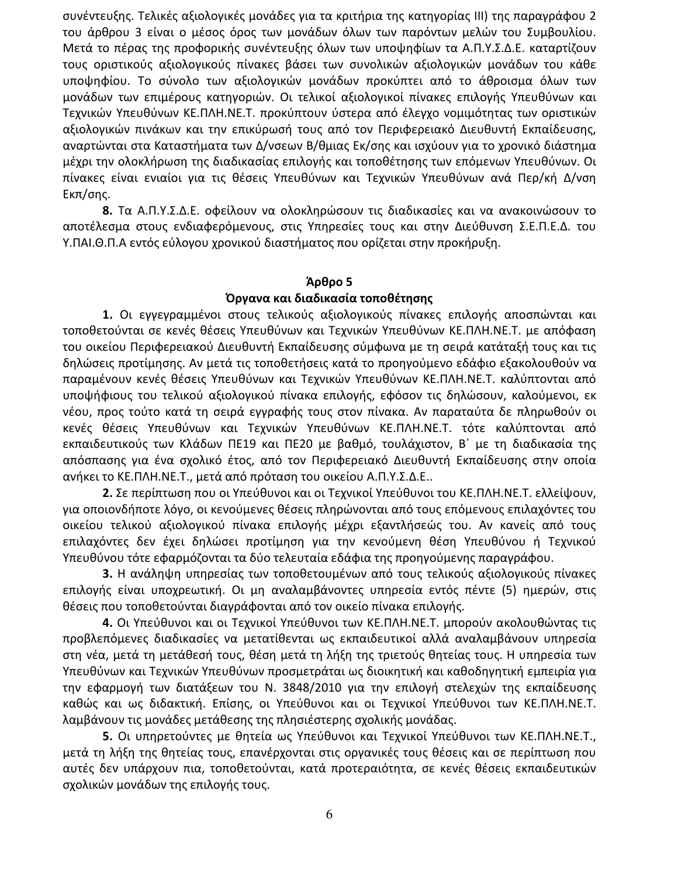συνέντευξης. Τελικές αξιολογικές μονάδες για τα κριτήρια της κατηγορίας III) της παραγράφου 2 του άρθρου 3 είναι ο μέσος όρος των μονάδων όλων των παρόντων μελών του Συμβουλίου. Μετά το πέρας της προφορικής συνέντευξης όλων των υποψηφίων τα Α.Π.Υ.Σ.Δ.Ε. καταρτίζουν τους οριστικούς αξιολογικούς πίνακες βάσει των συνολικών αξιολογικών μονάδων του κάθε υποψηφίου. Το σύνολο των αξιολογικών μονάδων προκύπτει από το άθροισμα όλων των μονάδων των επιμέρους κατηγοριών. Οι τελικοί αξιολογικοί πίνακες επιλογής Υπευθύνων και Τεχνικών Υπευθύνων ΚΕ.ΠΛΗ.ΝΕ.Τ. προκύπτουν ύστερα από έλεγχο νομιμότητας των οριστικών αξιολογικών πινάκων και την επικύρωσή τους από τον Περιφερειακό Διευθυντή Εκπαίδευσης, αναρτώνται στα Καταστήματα των Δ/νσεων Β/θμιας Εκ/σης και ισχύουν για το χρονικό διάστημα μέχρι την ολοκλήρωση της διαδικασίας επιλογής και τοποθέτησης των επόμενων Υπευθύνων. Οι πίνακες είναι ενιαίοι για τις θέσεις Υπευθύνων και Τεχνικών Υπευθύνων ανά Περ/κή Δ/νση Εκπ/σης.

8. Τα Α.Π.Υ.Σ.Δ.Ε. οφείλουν να ολοκληρώσουν τις διαδικασίες και να ανακοινώσουν το αποτέλεσμα στους ενδιαφερόμενους, στις Υπηρεσίες τους και στην Διεύθυνση Σ.Ε.Π.Ε.Δ. του Υ.ΠΑΙ.Θ.Π.Α εντός εύλογου χρονικού διαστήματος που ορίζεται στην προκήρυξη.

# Άρθρο 5

# Όργανα και διαδικασία τοποθέτησης

1. Οι εγγεγραμμένοι στους τελικούς αξιολογικούς πίνακες επιλογής αποσπώνται και τοποθετούνται σε κενές θέσεις Υπευθύνων και Τεχνικών Υπευθύνων ΚΕ.ΠΛΗ.ΝΕ.Τ. με απόφαση του οικείου Περιφερειακού Διευθυντή Εκπαίδευσης σύμφωνα με τη σειρά κατάταξή τους και τις δηλώσεις προτίμησης. Αν μετά τις τοποθετήσεις κατά το προηγούμενο εδάφιο εξακολουθούν να παραμένουν κενές θέσεις Υπευθύνων και Τεχνικών Υπευθύνων ΚΕ.ΠΛΗ.ΝΕ.Τ. καλύπτονται από υποψήφιους του τελικού αξιολογικού πίνακα επιλογής, εφόσον τις δηλώσουν, καλούμενοι, εκ νέου, προς τούτο κατά τη σειρά εγγραφής τους στον πίνακα. Αν παραταύτα δε πληρωθούν οι κενές θέσεις Υπευθύνων και Τεχνικών Υπευθύνων ΚΕ.ΠΛΗ.ΝΕ.Τ. τότε καλύπτονται από εκπαιδευτικούς των Κλάδων ΠΕ19 και ΠΕ20 με βαθμό, τουλάχιστον, Β΄ με τη διαδικασία της απόσπασης για ένα σχολικό έτος, από τον Περιφερειακό Διευθυντή Εκπαίδευσης στην οποία ανήκει το ΚΕ.ΠΛΗ.ΝΕ.Τ., μετά από πρόταση του οικείου Α.Π.Υ.Σ.Δ.Ε..

2. Σε περίπτωση που οι Υπεύθυνοι και οι Τεχνικοί Υπεύθυνοι του ΚΕ.ΠΛΗ.ΝΕ.Τ. ελλείψουν, για οποιονδήποτε λόγο, οι κενούμενες θέσεις πληρώνονται από τους επόμενους επιλαχόντες του οικείου τελικού αξιολογικού πίνακα επιλογής μέχρι εξαντλήσεώς του. Αν κανείς από τους επιλαχόντες δεν έχει δηλώσει προτίμηση για την κενούμενη θέση Υπευθύνου ή Τεχνικού Υπευθύνου τότε εφαρμόζονται τα δύο τελευταία εδάφια της προηγούμενης παραγράφου.

3. Η ανάληψη υπηρεσίας των τοποθετουμένων από τους τελικούς αξιολογικούς πίνακες επιλογής είναι υποχρεωτική. Οι μη αναλαμβάνοντες υπηρεσία εντός πέντε (5) ημερών, στις θέσεις που τοποθετούνται διαγράφονται από τον οικείο πίνακα επιλογής.

4. Οι Υπεύθυνοι και οι Τεχνικοί Υπεύθυνοι των ΚΕ.ΠΛΗ.ΝΕ.Τ. μπορούν ακολουθώντας τις προβλεπόμενες διαδικασίες να μετατίθενται ως εκπαιδευτικοί αλλά αναλαμβάνουν υπηρεσία στη νέα, μετά τη μετάθεσή τους, θέση μετά τη λήξη της τριετούς θητείας τους. Η υπηρεσία των Υπευθύνων και Τεχνικών Υπευθύνων προσμετράται ως διοικητική και καθοδηγητική εμπειρία για την εφαρμογή των διατάξεων του Ν. 3848/2010 για την επιλογή στελεχών της εκπαίδευσης καθώς και ως διδακτική. Επίσης, οι Υπεύθυνοι και οι Τεχνικοί Υπεύθυνοι των ΚΕ.ΠΛΗ.ΝΕ.Τ. λαμβάνουν τις μονάδες μετάθεσης της πλησιέστερης σχολικής μονάδας.

5. Οι υπηρετούντες με θητεία ως Υπεύθυνοι και Τεχνικοί Υπεύθυνοι των ΚΕ.ΠΛΗ.ΝΕ.Τ., μετά τη λήξη της θητείας τους, επανέρχονται στις οργανικές τους θέσεις και σε περίπτωση που αυτές δεν υπάρχουν πια, τοποθετούνται, κατά προτεραιότητα, σε κενές θέσεις εκπαιδευτικών σχολικών μονάδων της επιλογής τους.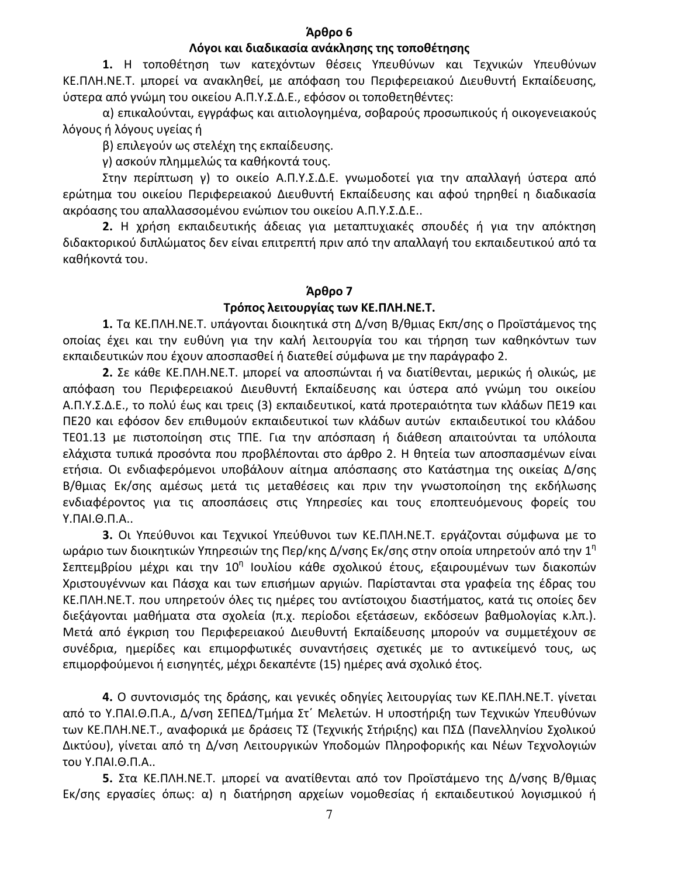#### Άρθρο 6

#### Λόγοι και διαδικασία ανάκλησης της τοποθέτησης

1. Η τοποθέτηση των κατεχόντων θέσεις Υπευθύνων και Τεχνικών Υπευθύνων ΚΕ.ΠΛΗ.ΝΕ.Τ. μπορεί να ανακληθεί, με απόφαση του Περιφερειακού Διευθυντή Εκπαίδευσης, ύστερα από γνώμη του οικείου Α.Π.Υ.Σ.Δ.Ε., εφόσον οι τοποθετηθέντες:

α) επικαλούνται, εγγράφως και αιτιολογημένα, σοβαρούς προσωπικούς ή οικογενειακούς λόγους ή λόγους υγείας ή

β) επιλεγούν ως στελέχη της εκπαίδευσης.

γ) ασκούν πλημμελώς τα καθήκοντά τους.

Στην περίπτωση γ) το οικείο Α.Π.Υ.Σ.Δ.Ε. γνωμοδοτεί για την απαλλαγή ύστερα από ερώτημα του οικείου Περιφερειακού Διευθυντή Εκπαίδευσης και αφού τηρηθεί η διαδικασία ακρόασης του απαλλασσομένου ενώπιον του οικείου Α.Π.Υ.Σ.Δ.Ε..

2. Η χρήση εκπαιδευτικής άδειας για μεταπτυχιακές σπουδές ή για την απόκτηση διδακτορικού διπλώματος δεν είναι επιτρεπτή πριν από την απαλλαγή του εκπαιδευτικού από τα καθήκοντά του.

#### Άρθρο 7

#### Τρόπος λειτουργίας των ΚΕ.ΠΛΗ.ΝΕ.Τ.

1. Τα ΚΕ.ΠΛΗ.ΝΕ.Τ. υπάγονται διοικητικά στη Δ/νση Β/θμιας Εκπ/σης ο Προϊστάμενος της οποίας έχει και την ευθύνη για την καλή λειτουργία του και τήρηση των καθηκόντων των εκπαιδευτικών που έχουν αποσπασθεί ή διατεθεί σύμφωνα με την παράγραφο 2.

2. Σε κάθε ΚΕ.ΠΛΗ.ΝΕ.Τ. μπορεί να αποσπώνται ή να διατίθενται, μερικώς ή ολικώς, με απόφαση του Περιφερειακού Διευθυντή Εκπαίδευσης και ύστερα από γνώμη του οικείου Α.Π.Υ.Σ.Δ.Ε., το πολύ έως και τρεις (3) εκπαιδευτικοί, κατά προτεραιότητα των κλάδων ΠΕ19 και ΠΕ20 και εφόσον δεν επιθυμούν εκπαιδευτικοί των κλάδων αυτών εκπαιδευτικοί του κλάδου ΤΕ01.13 με πιστοποίηση στις ΤΠΕ. Για την απόσπαση ή διάθεση απαιτούνται τα υπόλοιπα ελάχιστα τυπικά προσόντα που προβλέπονται στο άρθρο 2. Η θητεία των αποσπασμένων είναι ετήσια. Οι ενδιαφερόμενοι υποβάλουν αίτημα απόσπασης στο Κατάστημα της οικείας Δ/σης Β/θμιας Εκ/σης αμέσως μετά τις μεταθέσεις και πριν την γνωστοποίηση της εκδήλωσης ενδιαφέροντος για τις αποσπάσεις στις Υπηρεσίες και τους εποπτευόμενους φορείς του Υ.ΠΑΙ.Θ.Π.Α..

3. Οι Υπεύθυνοι και Τεχνικοί Υπεύθυνοι των ΚΕ.ΠΛΗ.ΝΕ.Τ. εργάζονται σύμφωνα με το ωράριο των διοικητικών Υπηρεσιών της Περ/κης Δ/νσης Εκ/σης στην οποία υπηρετούν από την  $1^{n}$ Σεπτεμβρίου μέχρι και την 10<sup>η</sup> Ιουλίου κάθε σχολικού έτους, εξαιρουμένων των διακοπών Χριστουγέννων και Πάσχα και των επισήμων αργιών. Παρίστανται στα γραφεία της έδρας του ΚΕ.ΠΛΗ.ΝΕ.Τ. που υπηρετούν όλες τις ημέρες του αντίστοιχου διαστήματος, κατά τις οποίες δεν διεξάγονται μαθήματα στα σχολεία (π.χ. περίοδοι εξετάσεων, εκδόσεων βαθμολογίας κ.λπ.). Μετά από έγκριση του Περιφερειακού Διευθυντή Εκπαίδευσης μπορούν να συμμετέχουν σε συνέδρια, ημερίδες και επιμορφωτικές συναντήσεις σχετικές με το αντικείμενό τους, ως επιμορφούμενοι ή εισηγητές, μέχρι δεκαπέντε (15) ημέρες ανά σχολικό έτος.

4. Ο συντονισμός της δράσης, και γενικές οδηγίες λειτουργίας των ΚΕ.ΠΛΗ.ΝΕ.Τ. γίνεται από το Υ.ΠΑΙ.Θ.Π.Α., Δ/νση ΣΕΠΕΔ/Τμήμα Στ' Μελετών. Η υποστήριξη των Τεχνικών Υπευθύνων των ΚΕ.ΠΛΗ.ΝΕ.Τ., αναφορικά με δράσεις ΤΣ (Τεχνικής Στήριξης) και ΠΣΔ (Πανελληνίου Σχολικού Δικτύου), γίνεται από τη Δ/νση Λειτουργικών Υποδομών Πληροφορικής και Νέων Τεχνολογιών του Υ.ΠΑΙ.Θ.Π.Α..

5. Στα ΚΕ.ΠΛΗ.ΝΕ.Τ. μπορεί να ανατίθενται από τον Προϊστάμενο της Δ/νσης Β/θμιας Εκ/σης εργασίες όπως: α) η διατήρηση αρχείων νομοθεσίας ή εκπαιδευτικού λογισμικού ή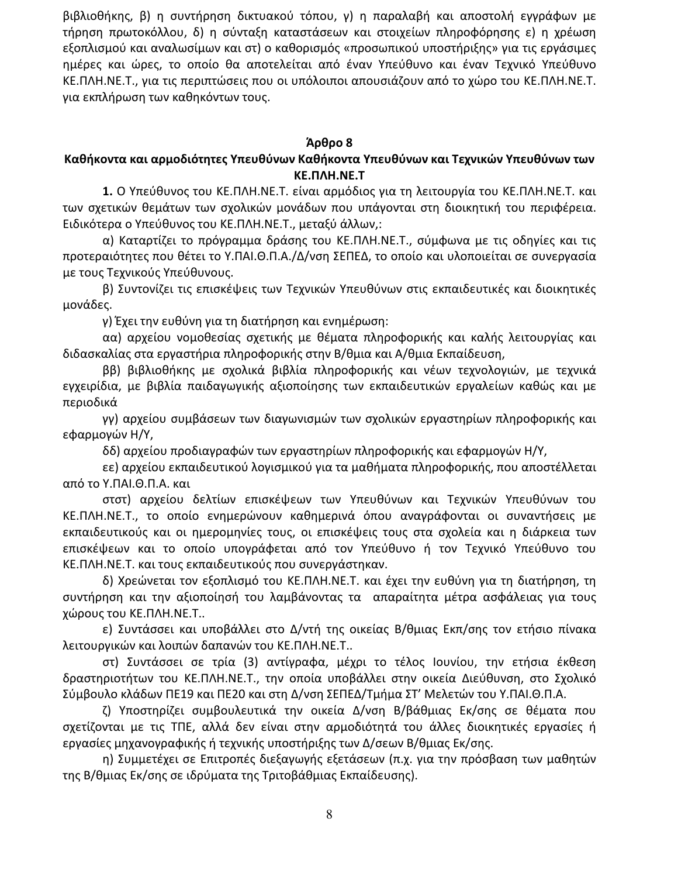βιβλιοθήκης, β) η συντήρηση δικτυακού τόπου, γ) η παραλαβή και αποστολή εγγράφων με τήρηση πρωτοκόλλου, δ) η σύνταξη καταστάσεων και στοιχείων πληροφόρησης ε) η χρέωση εξοπλισμού και αναλωσίμων και στ) ο καθορισμός «προσωπικού υποστήριξης» για τις εργάσιμες ημέρες και ώρες, το οποίο θα αποτελείται από έναν Υπεύθυνο και έναν Τεχνικό Υπεύθυνο ΚΕ.ΠΛΗ.ΝΕ.Τ., για τις περιπτώσεις που οι υπόλοιποι απουσιάζουν από το χώρο του ΚΕ.ΠΛΗ.ΝΕ.Τ. για εκπλήρωση των καθηκόντων τους.

#### Άρθρο 8

# Καθήκοντα και αρμοδιότητες Υπευθύνων Καθήκοντα Υπευθύνων και Τεχνικών Υπευθύνων των KE. NAH. NE. T

1. Ο Υπεύθυνος του ΚΕ.ΠΛΗ.ΝΕ.Τ. είναι αρμόδιος για τη λειτουργία του ΚΕ.ΠΛΗ.ΝΕ.Τ. και των σχετικών θεμάτων των σχολικών μονάδων που υπάγονται στη διοικητική του περιφέρεια. Ειδικότερα ο Υπεύθυνος του ΚΕ.ΠΛΗ.ΝΕ.Τ., μεταξύ άλλων,:

α) Καταρτίζει το πρόγραμμα δράσης του ΚΕ.ΠΛΗ.ΝΕ.Τ., σύμφωνα με τις οδηγίες και τις προτεραιότητες που θέτει το Υ.ΠΑΙ.Θ.Π.Α./Δ/νση ΣΕΠΕΔ, το οποίο και υλοποιείται σε συνεργασία με τους Τεχνικούς Υπεύθυνους.

β) Συντονίζει τις επισκέψεις των Τεχνικών Υπευθύνων στις εκπαιδευτικές και διοικητικές μονάδες.

γ) Έχει την ευθύνη για τη διατήρηση και ενημέρωση:

αα) αρχείου νομοθεσίας σχετικής με θέματα πληροφορικής και καλής λειτουργίας και διδασκαλίας στα εργαστήρια πληροφορικής στην Β/θμια και Α/θμια Εκπαίδευση,

ββ) βιβλιοθήκης με σχολικά βιβλία πληροφορικής και νέων τεχνολογιών, με τεχνικά εγχειρίδια, με βιβλία παιδαγωγικής αξιοποίησης των εκπαιδευτικών εργαλείων καθώς και με περιοδικά

γγ) αρχείου συμβάσεων των διαγωνισμών των σχολικών εργαστηρίων πληροφορικής και εφαρμογών Η/Υ,

δδ) αρχείου προδιαγραφών των εργαστηρίων πληροφορικής και εφαρμογών Η/Υ,

εε) αρχείου εκπαιδευτικού λογισμικού για τα μαθήματα πληροφορικής, που αποστέλλεται από το Υ.ΠΑΙ.Θ.Π.Α. και

στστ) αρχείου δελτίων επισκέψεων των Υπευθύνων και Τεχνικών Υπευθύνων του ΚΕ.ΠΛΗ.ΝΕ.Τ., το οποίο ενημερώνουν καθημερινά όπου αναγράφονται οι συναντήσεις με εκπαιδευτικούς και οι ημερομηνίες τους, οι επισκέψεις τους στα σχολεία και η διάρκεια των επισκέψεων και το οποίο υπογράφεται από τον Υπεύθυνο ή τον Τεχνικό Υπεύθυνο του ΚΕ.ΠΛΗ.ΝΕ.Τ. και τους εκπαιδευτικούς που συνεργάστηκαν.

δ) Χρεώνεται τον εξοπλισμό του ΚΕ.ΠΛΗ.ΝΕ.Τ. και έχει την ευθύνη για τη διατήρηση, τη συντήρηση και την αξιοποίησή του λαμβάνοντας τα απαραίτητα μέτρα ασφάλειας για τους χώρους του ΚΕ.ΠΛΗ.ΝΕ.Τ..

ε) Συντάσσει και υποβάλλει στο Δ/ντή της οικείας Β/θμιας Εκπ/σης τον ετήσιο πίνακα λειτουργικών και λοιπών δαπανών του ΚΕ.ΠΛΗ.ΝΕ.Τ..

στ) Συντάσσει σε τρία (3) αντίγραφα, μέχρι το τέλος Ιουνίου, την ετήσια έκθεση δραστηριοτήτων του ΚΕ.ΠΛΗ.ΝΕ.Τ., την οποία υποβάλλει στην οικεία Διεύθυνση, στο Σχολικό Σύμβουλο κλάδων ΠΕ19 και ΠΕ20 και στη Δ/νση ΣΕΠΕΔ/Τμήμα ΣΤ' Μελετών του Υ.ΠΑΙ.Θ.Π.Α.

ζ) Υποστηρίζει συμβουλευτικά την οικεία Δ/νση Β/βάθμιας Εκ/σης σε θέματα που σχετίζονται με τις ΤΠΕ, αλλά δεν είναι στην αρμοδιότητά του άλλες διοικητικές εργασίες ή εργασίες μηχανογραφικής ή τεχνικής υποστήριξης των Δ/σεων Β/θμιας Εκ/σης.

η) Συμμετέχει σε Επιτροπές διεξαγωγής εξετάσεων (π.χ. για την πρόσβαση των μαθητών της Β/θμιας Εκ/σης σε ιδρύματα της Τριτοβάθμιας Εκπαίδευσης).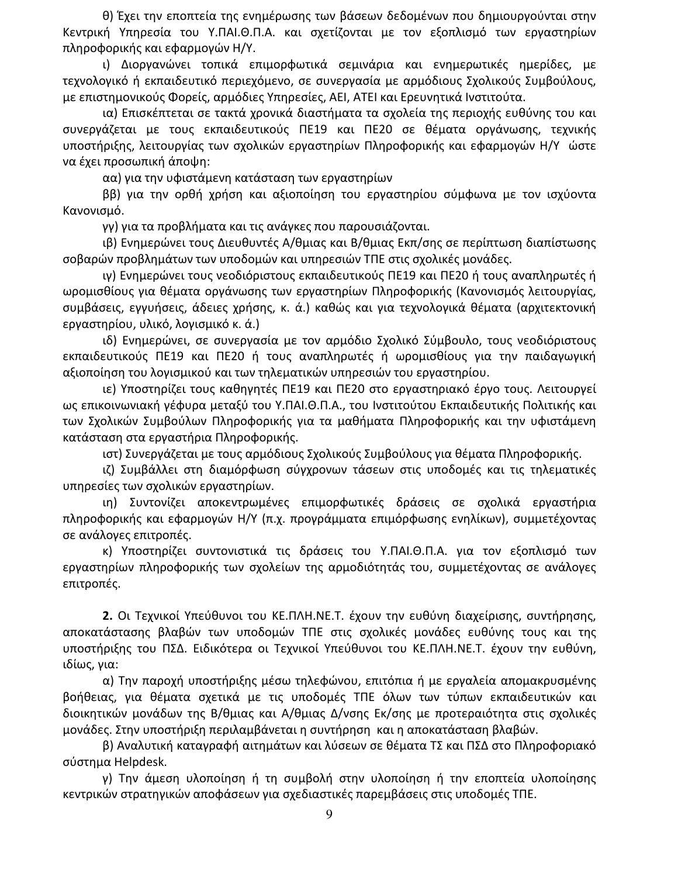θ) Έχει την εποπτεία της ενημέρωσης των βάσεων δεδομένων που δημιουργούνται στην Κεντρική Υπηρεσία του Υ.ΠΑΙ.Θ.Π.Α. και σχετίζονται με τον εξοπλισμό των εργαστηρίων πληροφορικής και εφαρμογών Η/Υ.

ι) Διοργανώνει τοπικά επιμορφωτικά σεμινάρια και ενημερωτικές ημερίδες, με τεχνολογικό ή εκπαιδευτικό περιεχόμενο, σε συνεργασία με αρμόδιους Σχολικούς Συμβούλους, με επιστημονικούς Φορείς, αρμόδιες Υπηρεσίες, ΑΕΙ, ΑΤΕΙ και Ερευνητικά Ινστιτούτα.

ια) Επισκέπτεται σε τακτά χρονικά διαστήματα τα σχολεία της περιοχής ευθύνης του και συνεργάζεται με τους εκπαιδευτικούς ΠΕ19 και ΠΕ20 σε θέματα οργάνωσης, τεχνικής υποστήριξης, λειτουργίας των σχολικών εργαστηρίων Πληροφορικής και εφαρμογών Η/Υ ώστε να έχει προσωπική άποψη:

αα) για την υφιστάμενη κατάσταση των εργαστηρίων

ββ) για την ορθή χρήση και αξιοποίηση του εργαστηρίου σύμφωνα με τον ισχύοντα Κανονισμό.

γγ) για τα προβλήματα και τις ανάγκες που παρουσιάζονται.

ιβ) Ενημερώνει τους Διευθυντές Α/θμιας και Β/θμιας Εκπ/σης σε περίπτωση διαπίστωσης σοβαρών προβλημάτων των υποδομών και υπηρεσιών ΤΠΕ στις σχολικές μονάδες.

ιγ) Ενημερώνει τους νεοδιόριστους εκπαιδευτικούς ΠΕ19 και ΠΕ20 ή τους αναπληρωτές ή ωρομισθίους για θέματα οργάνωσης των εργαστηρίων Πληροφορικής (Κανονισμός λειτουργίας, συμβάσεις, εγγυήσεις, άδειες χρήσης, κ. ά.) καθώς και για τεχνολογικά θέματα (αρχιτεκτονική εργαστηρίου, υλικό, λογισμικό κ. ά.)

ιδ) Ενημερώνει, σε συνεργασία με τον αρμόδιο Σχολικό Σύμβουλο, τους νεοδιόριστους εκπαιδευτικούς ΠΕ19 και ΠΕ20 ή τους αναπληρωτές ή ωρομισθίους για την παιδαγωγική αξιοποίηση του λογισμικού και των τηλεματικών υπηρεσιών του εργαστηρίου.

ιε) Υποστηρίζει τους καθηγητές ΠΕ19 και ΠΕ20 στο εργαστηριακό έργο τους. Λειτουργεί ως επικοινωνιακή γέφυρα μεταξύ του Υ.ΠΑΙ.Θ.Π.Α., του Ινστιτούτου Εκπαιδευτικής Πολιτικής και των Σχολικών Συμβούλων Πληροφορικής για τα μαθήματα Πληροφορικής και την υφιστάμενη κατάσταση στα εργαστήρια Πληροφορικής.

ιστ) Συνεργάζεται με τους αρμόδιους Σχολικούς Συμβούλους για θέματα Πληροφορικής.

ιζ) Συμβάλλει στη διαμόρφωση σύγχρονων τάσεων στις υποδομές και τις τηλεματικές υπηρεσίες των σχολικών εργαστηρίων.

ιη) Συντονίζει αποκεντρωμένες επιμορφωτικές δράσεις σε σχολικά εργαστήρια πληροφορικής και εφαρμογών Η/Υ (π.χ. προγράμματα επιμόρφωσης ενηλίκων), συμμετέχοντας σε ανάλογες επιτροπές.

κ) Υποστηρίζει συντονιστικά τις δράσεις του Υ.ΠΑΙ.Θ.Π.Α. για τον εξοπλισμό των εργαστηρίων πληροφορικής των σχολείων της αρμοδιότητάς του, συμμετέχοντας σε ανάλογες επιτροπές.

2. Οι Τεχνικοί Υπεύθυνοι του ΚΕ.ΠΛΗ.ΝΕ.Τ. έχουν την ευθύνη διαχείρισης, συντήρησης, αποκατάστασης βλαβών των υποδομών ΤΠΕ στις σχολικές μονάδες ευθύνης τους και της υποστήριξης του ΠΣΔ. Ειδικότερα οι Τεχνικοί Υπεύθυνοι του ΚΕ.ΠΛΗ.ΝΕ.Τ. έχουν την ευθύνη, ιδίως, νια:

α) Την παροχή υποστήριξης μέσω τηλεφώνου, επιτόπια ή με εργαλεία απομακρυσμένης βοήθειας, για θέματα σχετικά με τις υποδομές ΤΠΕ όλων των τύπων εκπαιδευτικών και διοικητικών μονάδων της Β/θμιας και Α/θμιας Δ/νσης Εκ/σης με προτεραιότητα στις σχολικές μονάδες. Στην υποστήριξη περιλαμβάνεται η συντήρηση και η αποκατάσταση βλαβών.

β) Αναλυτική καταγραφή αιτημάτων και λύσεων σε θέματα ΤΣ και ΠΣΔ στο Πληροφοριακό σύστημα Helpdesk.

γ) Την άμεση υλοποίηση ή τη συμβολή στην υλοποίηση ή την εποπτεία υλοποίησης κεντρικών στρατηγικών αποφάσεων για σχεδιαστικές παρεμβάσεις στις υποδομές ΤΠΕ.